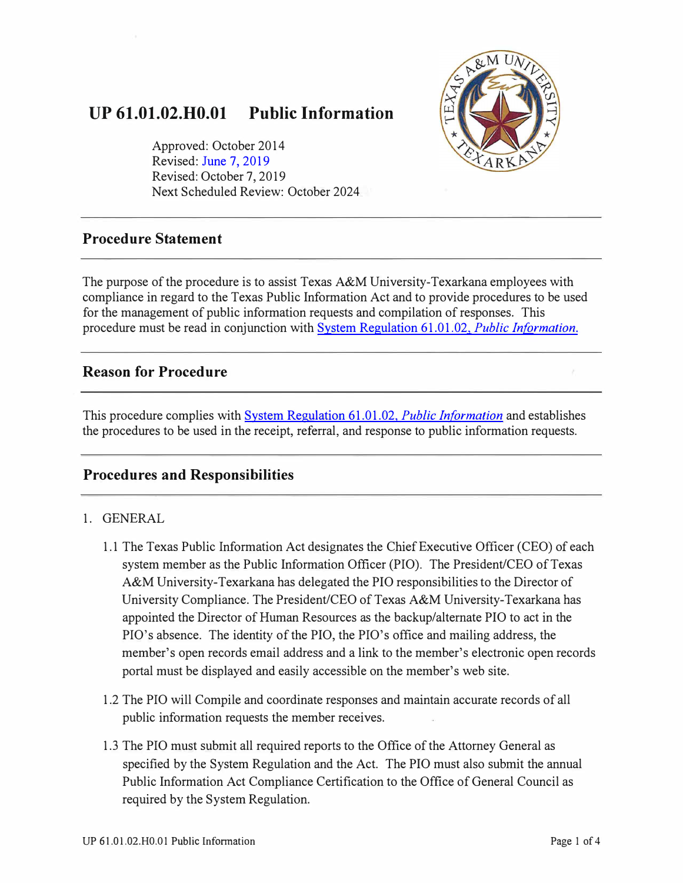# **UP 61.01.02.H0.01 Public Information**

Approved: October 2014 Revised: [June 7, 2019](https://tamut.edu/About/Administration/About/Rules/Archive_Rules_Procedure/UP_61.01.02.H0.01_Public_Information_2019SeptMarkup.pdf)  Revised: October 7, 2019 Next Scheduled Review: October 2024



## **Procedure Statement**

The purpose of the procedure is to assist Texas A&M University-Texarkana employees with compliance in regard to the Texas Public Information Act and to provide procedures to be used for the management of public information requests and compilation of responses. This procedure must be read in conjunction with System Regulation 61.01.02, *Public Information.* 

## **Reason for Procedure**

This procedure complies with [System Regulation 61.01.02,](http://policies.tamus.edu/61-01-02.pdf) *Public Information* and establishes the procedures to be used in the receipt, referral, and response to public information requests.

## **Procedures and Responsibilities**

### 1. GENERAL

- 1.1 The Texas Public Information Act designates the Chief Executive Officer (CEO) of each system member as the Public Information Officer (PIO). The President/CEO of Texas A&M University-Texarkana has delegated the PIO responsibilities to the Director of University Compliance. The President/CEO of Texas A&M University-Texarkana has appointed the Director of Human Resources as the backup/alternate PIO to act in the PIO's absence. The identity of the PIO, the PIO's office and mailing address, the member's open records email address and a link to the member's electronic open records portal must be displayed and easily accessible on the member's web site.
- 1.2 The PIO will Compile and coordinate responses and maintain accurate records of all public information requests the member receives.
- 1.3 The PIO must submit all required reports to the Office of the Attorney General as specified by the System Regulation and the Act. The PIO must also submit the annual Public Information Act Compliance Certification to the Office of General Council as required by the System Regulation.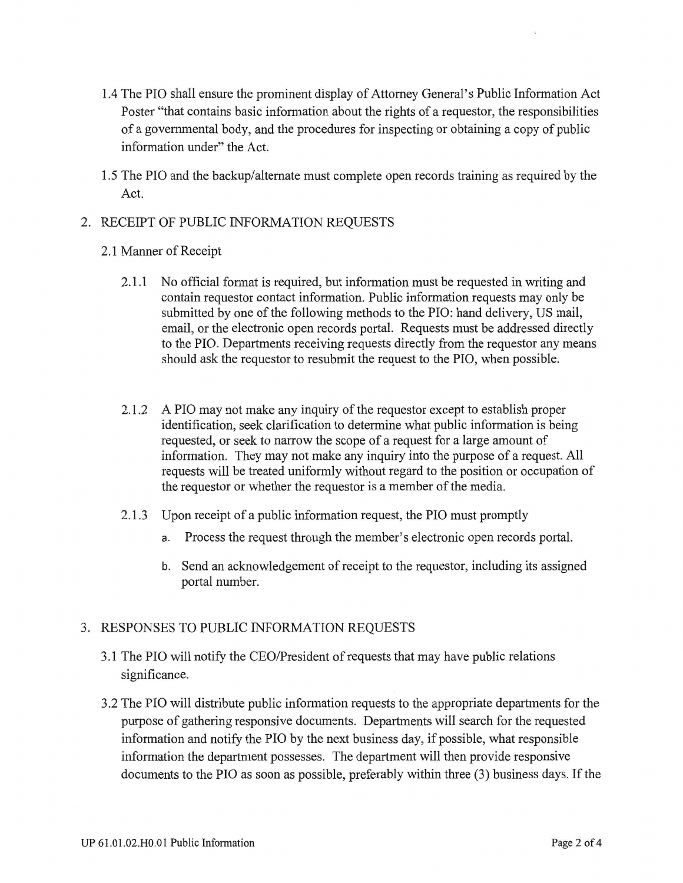- 1.4 The PIO shall ensure the prominent display of Attorney General's Public Information Act Poster "that contains basic information about the rights of a requestor, the responsibilities of a governmental body, and the procedures for inspecting or obtaining a copy of public information under" the Act.
- 1.5 The PIO and the backup/alternate must complete open records training as required by the Act.

#### 2. RECEIPT OF PUBLIC INFORMATION REQUESTS

- 2.1 Manner of Receipt
	- 2.1.1 No official format is required, but information must be requested in writing and contain requestor contact information. Public information requests may only be submitted by one of the following methods to the PIO: hand delivery, US mail, email, or the electronic open records portal. Requests must be addressed directly to the PIO. Departments receiving requests directly from the requestor any means should ask the requestor to resubmit the request to the PIO, when possible.
	- 2.1.2 A PIO may not make any inquiry of the requestor except to establish proper identification, seek clarification to determine what public information is being requested, or seek to narrow the scope of a request for a large amount of information. They may not make any inquiry into the purpose of a request. All requests will be treated uniformly without regard to the position or occupation of the requestor or whether the requestor is a member of the media.
	- 2.1.3 Upon receipt of a public information request, the PIO must promptly
		- a. Process the request through the member's electronic open records portal.
		- b. Send an acknowledgement of receipt to the requestor, including its assigned portal number.

### 3. RESPONSES TO PUBLIC INFORMATION REQUESTS

- 3.1 The PIO will notify the CEO/President of requests that may have public relations significance.
- 3.2 The PIO will distribute public information requests to the appropriate departments for the purpose of gathering responsive documents. Departments will search for the requested information and notify the PIO by the next business day, if possible, what responsible information the department possesses. The department will then provide responsive documents to the PIO as soon as possible, preferably within three (3) business days. If the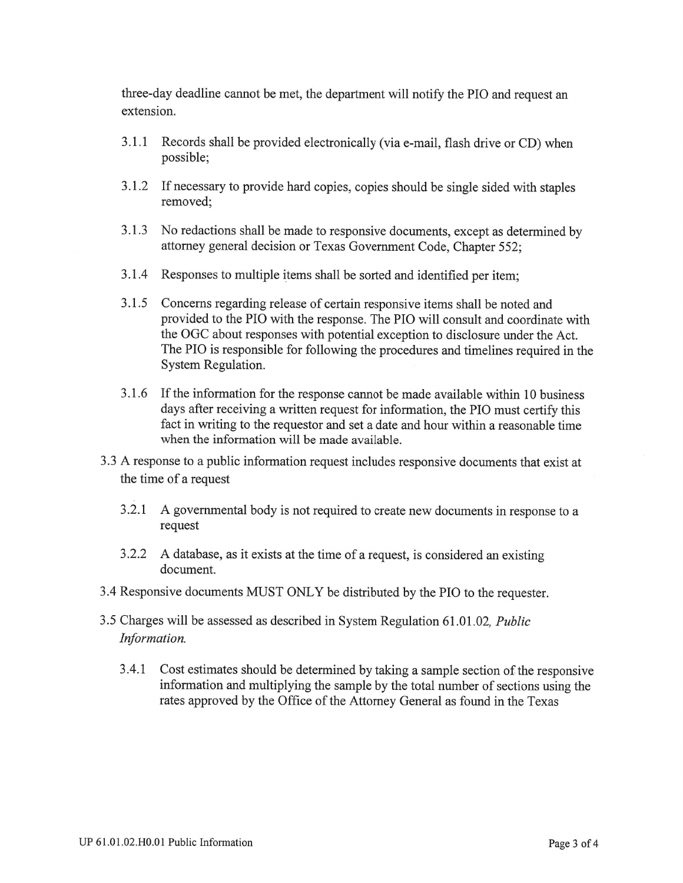three-day deadline cannot be met, the department will notify the PIO and request an extension.

- $3.1.1$ Records shall be provided electronically (via e-mail, flash drive or CD) when possible;
- 3.1.2 If necessary to provide hard copies, copies should be single sided with staples removed:
- 3.1.3 No redactions shall be made to responsive documents, except as determined by attorney general decision or Texas Government Code, Chapter 552;
- 3.1.4 Responses to multiple items shall be sorted and identified per item;
- $3.1.5$ Concerns regarding release of certain responsive items shall be noted and provided to the PIO with the response. The PIO will consult and coordinate with the OGC about responses with potential exception to disclosure under the Act. The PIO is responsible for following the procedures and timelines required in the System Regulation.
- 3.1.6 If the information for the response cannot be made available within 10 business days after receiving a written request for information, the PIO must certify this fact in writing to the requestor and set a date and hour within a reasonable time when the information will be made available.
- 3.3 A response to a public information request includes responsive documents that exist at the time of a request
	- 3.2.1 A governmental body is not required to create new documents in response to a request
	- 3.2.2 A database, as it exists at the time of a request, is considered an existing document.
- 3.4 Responsive documents MUST ONLY be distributed by the PIO to the requester.
- 3.5 Charges will be assessed as described in System Regulation 61.01.02, Public Information.
	- Cost estimates should be determined by taking a sample section of the responsive 3.4.1 information and multiplying the sample by the total number of sections using the rates approved by the Office of the Attorney General as found in the Texas